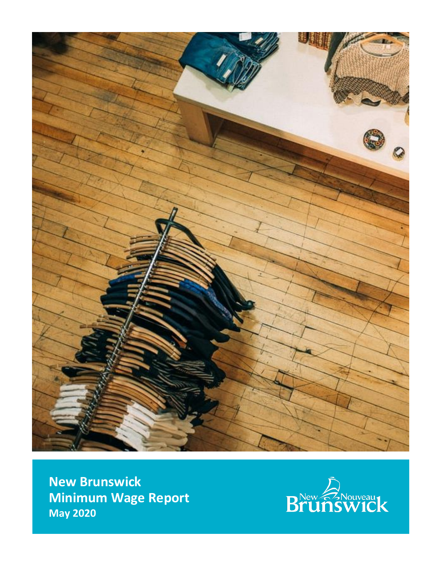

**New Brunswick Minimum Wage Report May 2020**

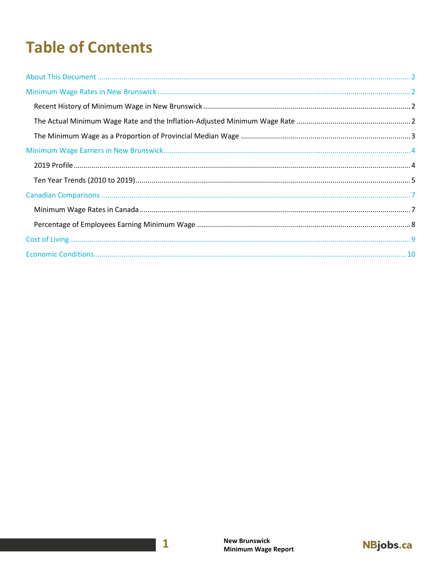# **Table of Contents**

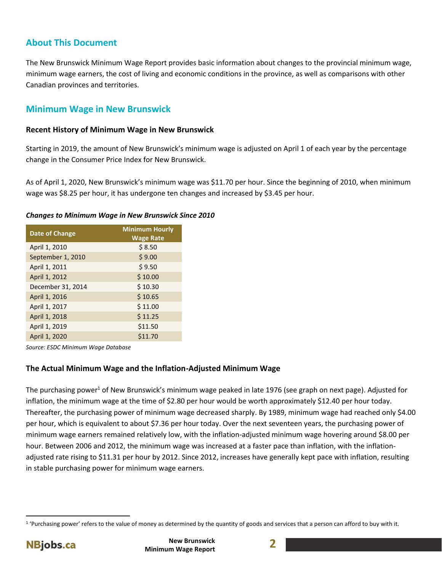# <span id="page-2-0"></span>**About This Document**

The New Brunswick Minimum Wage Report provides basic information about changes to the provincial minimum wage, minimum wage earners, the cost of living and economic conditions in the province, as well as comparisons with other Canadian provinces and territories.

# <span id="page-2-1"></span>**Minimum Wage in New Brunswick**

## <span id="page-2-2"></span>**Recent History of Minimum Wage in New Brunswick**

Starting in 2019, the amount of New Brunswick's minimum wage is adjusted on April 1 of each year by the percentage change in the Consumer Price Index for New Brunswick.

As of April 1, 2020, New Brunswick's minimum wage was \$11.70 per hour. Since the beginning of 2010, when minimum wage was \$8.25 per hour, it has undergone ten changes and increased by \$3.45 per hour.

## *Changes to Minimum Wage in New Brunswick Since 2010*

| <b>Date of Change</b> | <b>Minimum Hourly</b><br><b>Wage Rate</b> |
|-----------------------|-------------------------------------------|
| April 1, 2010         | \$8.50                                    |
| September 1, 2010     | \$9.00                                    |
| April 1, 2011         | \$9.50                                    |
| April 1, 2012         | \$10.00                                   |
| December 31, 2014     | \$10.30                                   |
| April 1, 2016         | \$10.65                                   |
| April 1, 2017         | \$11.00                                   |
| April 1, 2018         | \$11.25                                   |
| April 1, 2019         | \$11.50                                   |
| April 1, 2020         | \$11.70                                   |

*Source: ESDC Minimum Wage Database*

## <span id="page-2-3"></span>**The Actual Minimum Wage and the Inflation-Adjusted Minimum Wage**

The purchasing power<sup>1</sup> of New Brunswick's minimum wage peaked in late 1976 (see graph on next page). Adjusted for inflation, the minimum wage at the time of \$2.80 per hour would be worth approximately \$12.40 per hour today. Thereafter, the purchasing power of minimum wage decreased sharply. By 1989, minimum wage had reached only \$4.00 per hour, which is equivalent to about \$7.36 per hour today. Over the next seventeen years, the purchasing power of minimum wage earners remained relatively low, with the inflation-adjusted minimum wage hovering around \$8.00 per hour. Between 2006 and 2012, the minimum wage was increased at a faster pace than inflation, with the inflationadjusted rate rising to \$11.31 per hour by 2012. Since 2012, increases have generally kept pace with inflation, resulting in stable purchasing power for minimum wage earners.

 $\overline{\phantom{a}}$ 



<sup>&</sup>lt;sup>1</sup> 'Purchasing power' refers to the value of money as determined by the quantity of goods and services that a person can afford to buy with it.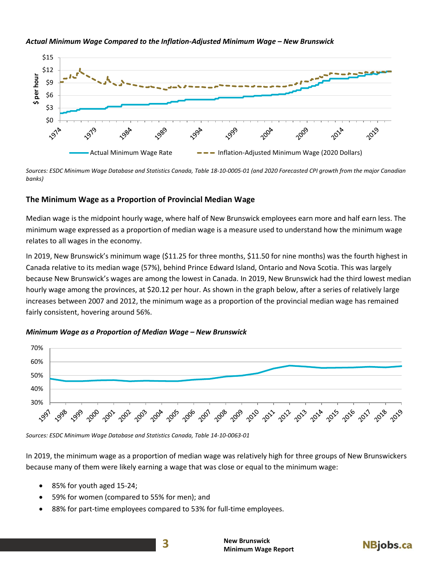#### *Actual Minimum Wage Compared to the Inflation-Adjusted Minimum Wage – New Brunswick*



*Sources: ESDC Minimum Wage Database and Statistics Canada, Table 18-10-0005-01 (and 2020 Forecasted CPI growth from the major Canadian banks)*

### <span id="page-3-0"></span>**The Minimum Wage as a Proportion of Provincial Median Wage**

Median wage is the midpoint hourly wage, where half of New Brunswick employees earn more and half earn less. The minimum wage expressed as a proportion of median wage is a measure used to understand how the minimum wage relates to all wages in the economy.

In 2019, New Brunswick's minimum wage (\$11.25 for three months, \$11.50 for nine months) was the fourth highest in Canada relative to its median wage (57%), behind Prince Edward Island, Ontario and Nova Scotia. This was largely because New Brunswick's wages are among the lowest in Canada. In 2019, New Brunswick had the third lowest median hourly wage among the provinces, at \$20.12 per hour. As shown in the graph below, after a series of relatively large increases between 2007 and 2012, the minimum wage as a proportion of the provincial median wage has remained fairly consistent, hovering around 56%.

#### *Minimum Wage as a Proportion of Median Wage – New Brunswick*



*Sources: ESDC Minimum Wage Database and Statistics Canada, Table 14-10-0063-01*

In 2019, the minimum wage as a proportion of median wage was relatively high for three groups of New Brunswickers because many of them were likely earning a wage that was close or equal to the minimum wage:

- 85% for youth aged 15-24;
- 59% for women (compared to 55% for men); and
- 88% for part-time employees compared to 53% for full-time employees.

**3**

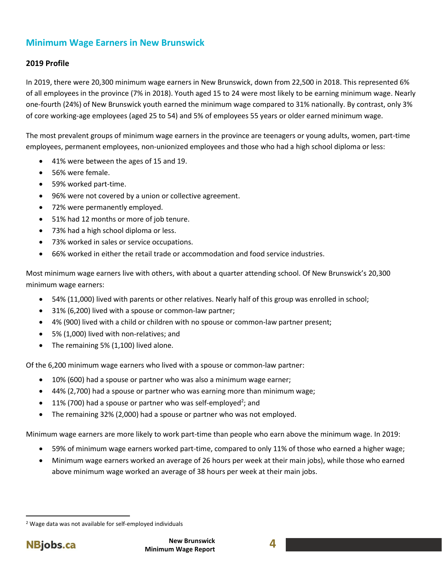# <span id="page-4-0"></span>**Minimum Wage Earners in New Brunswick**

## <span id="page-4-1"></span>**2019 Profile**

In 2019, there were 20,300 minimum wage earners in New Brunswick, down from 22,500 in 2018. This represented 6% of all employees in the province (7% in 2018). Youth aged 15 to 24 were most likely to be earning minimum wage. Nearly one-fourth (24%) of New Brunswick youth earned the minimum wage compared to 31% nationally. By contrast, only 3% of core working-age employees (aged 25 to 54) and 5% of employees 55 years or older earned minimum wage.

The most prevalent groups of minimum wage earners in the province are teenagers or young adults, women, part-time employees, permanent employees, non-unionized employees and those who had a high school diploma or less:

- 41% were between the ages of 15 and 19.
- 56% were female.
- 59% worked part-time.
- 96% were not covered by a union or collective agreement.
- 72% were permanently employed.
- 51% had 12 months or more of job tenure.
- 73% had a high school diploma or less.
- 73% worked in sales or service occupations.
- 66% worked in either the retail trade or accommodation and food service industries.

Most minimum wage earners live with others, with about a quarter attending school. Of New Brunswick's 20,300 minimum wage earners:

- 54% (11,000) lived with parents or other relatives. Nearly half of this group was enrolled in school;
- 31% (6,200) lived with a spouse or common-law partner;
- 4% (900) lived with a child or children with no spouse or common-law partner present;
- 5% (1,000) lived with non-relatives; and
- The remaining 5% (1,100) lived alone.

Of the 6,200 minimum wage earners who lived with a spouse or common-law partner:

- 10% (600) had a spouse or partner who was also a minimum wage earner;
- 44% (2,700) had a spouse or partner who was earning more than minimum wage;
- $\bullet$  11% (700) had a spouse or partner who was self-employed<sup>2</sup>; and
- The remaining 32% (2,000) had a spouse or partner who was not employed.

Minimum wage earners are more likely to work part-time than people who earn above the minimum wage. In 2019:

- 59% of minimum wage earners worked part-time, compared to only 11% of those who earned a higher wage;
- Minimum wage earners worked an average of 26 hours per week at their main jobs), while those who earned above minimum wage worked an average of 38 hours per week at their main jobs.

 $\overline{\phantom{a}}$ 

<sup>2</sup> Wage data was not available for self-employed individuals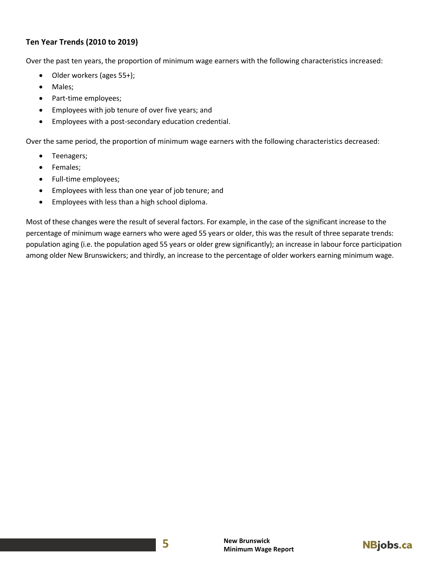## <span id="page-5-0"></span>**Ten Year Trends (2010 to 2019)**

Over the past ten years, the proportion of minimum wage earners with the following characteristics increased:

- Older workers (ages 55+);
- Males;
- Part-time employees;
- Employees with job tenure of over five years; and
- Employees with a post-secondary education credential.

Over the same period, the proportion of minimum wage earners with the following characteristics decreased:

- Teenagers;
- Females;
- Full-time employees;
- Employees with less than one year of job tenure; and
- Employees with less than a high school diploma.

Most of these changes were the result of several factors. For example, in the case of the significant increase to the percentage of minimum wage earners who were aged 55 years or older, this was the result of three separate trends: population aging (i.e. the population aged 55 years or older grew significantly); an increase in labour force participation among older New Brunswickers; and thirdly, an increase to the percentage of older workers earning minimum wage.

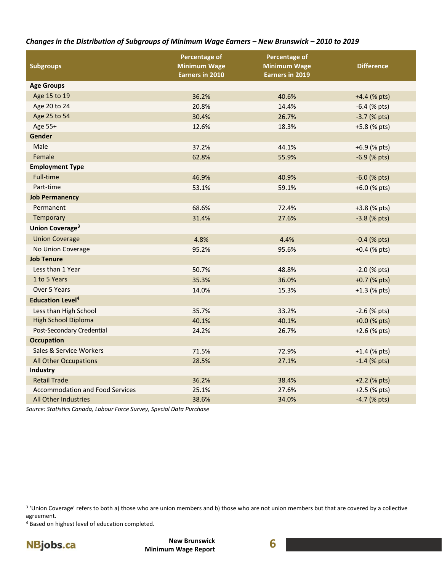## *Changes in the Distribution of Subgroups of Minimum Wage Earners – New Brunswick – 2010 to 2019*

| <b>Subgroups</b>                       | Percentage of<br><b>Minimum Wage</b><br><b>Earners in 2010</b> | Percentage of<br><b>Minimum Wage</b><br><b>Earners in 2019</b> | <b>Difference</b> |
|----------------------------------------|----------------------------------------------------------------|----------------------------------------------------------------|-------------------|
| <b>Age Groups</b>                      |                                                                |                                                                |                   |
| Age 15 to 19                           | 36.2%                                                          | 40.6%                                                          | $+4.4$ (% pts)    |
| Age 20 to 24                           | 20.8%                                                          | 14.4%                                                          | $-6.4$ (% pts)    |
| Age 25 to 54                           | 30.4%                                                          | 26.7%                                                          | $-3.7$ (% pts)    |
| Age 55+                                | 12.6%                                                          | 18.3%                                                          | +5.8 (% pts)      |
| Gender                                 |                                                                |                                                                |                   |
| Male                                   | 37.2%                                                          | 44.1%                                                          | +6.9 (% pts)      |
| Female                                 | 62.8%                                                          | 55.9%                                                          | $-6.9$ (% pts)    |
| <b>Employment Type</b>                 |                                                                |                                                                |                   |
| <b>Full-time</b>                       | 46.9%                                                          | 40.9%                                                          | $-6.0$ (% pts)    |
| Part-time                              | 53.1%                                                          | 59.1%                                                          | +6.0 (% pts)      |
| <b>Job Permanency</b>                  |                                                                |                                                                |                   |
| Permanent                              | 68.6%                                                          | 72.4%                                                          | +3.8 (% pts)      |
| Temporary                              | 31.4%                                                          | 27.6%                                                          | $-3.8$ (% pts)    |
| Union Coverage <sup>3</sup>            |                                                                |                                                                |                   |
| <b>Union Coverage</b>                  | 4.8%                                                           | 4.4%                                                           | $-0.4$ (% pts)    |
| No Union Coverage                      | 95.2%                                                          | 95.6%                                                          | $+0.4$ (% pts)    |
| <b>Job Tenure</b>                      |                                                                |                                                                |                   |
| Less than 1 Year                       | 50.7%                                                          | 48.8%                                                          | $-2.0$ (% pts)    |
| 1 to 5 Years                           | 35.3%                                                          | 36.0%                                                          | +0.7 (% pts)      |
| Over 5 Years                           | 14.0%                                                          | 15.3%                                                          | $+1.3$ (% pts)    |
| <b>Education Level<sup>4</sup></b>     |                                                                |                                                                |                   |
| Less than High School                  | 35.7%                                                          | 33.2%                                                          | $-2.6$ (% pts)    |
| <b>High School Diploma</b>             | 40.1%                                                          | 40.1%                                                          | $+0.0$ (% pts)    |
| Post-Secondary Credential              | 24.2%                                                          | 26.7%                                                          | $+2.6$ (% pts)    |
| <b>Occupation</b>                      |                                                                |                                                                |                   |
| Sales & Service Workers                | 71.5%                                                          | 72.9%                                                          | $+1.4$ (% pts)    |
| All Other Occupations                  | 28.5%                                                          | 27.1%                                                          | $-1.4$ (% pts)    |
| Industry                               |                                                                |                                                                |                   |
| <b>Retail Trade</b>                    | 36.2%                                                          | 38.4%                                                          | +2.2 (% pts)      |
| <b>Accommodation and Food Services</b> | 25.1%                                                          | 27.6%                                                          | +2.5 (% pts)      |
| All Other Industries                   | 38.6%                                                          | 34.0%                                                          | -4.7 (% pts)      |

*Source: Statistics Canada, Labour Force Survey, Special Data Purchase*

<sup>4</sup> Based on highest level of education completed.



l

<sup>3</sup> 'Union Coverage' refers to both a) those who are union members and b) those who are not union members but that are covered by a collective agreement.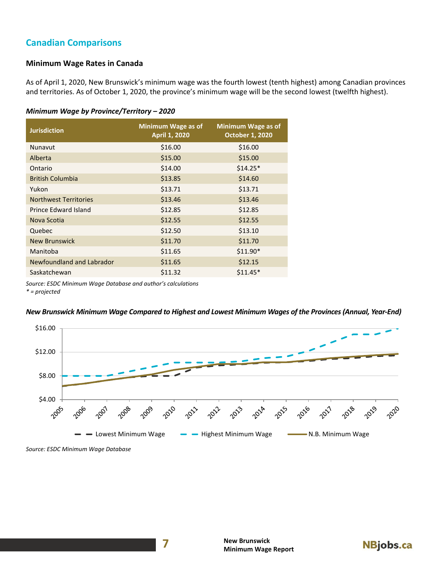# <span id="page-7-0"></span>**Canadian Comparisons**

## <span id="page-7-1"></span>**Minimum Wage Rates in Canada**

As of April 1, 2020, New Brunswick's minimum wage was the fourth lowest (tenth highest) among Canadian provinces and territories. As of October 1, 2020, the province's minimum wage will be the second lowest (twelfth highest).

#### *Minimum Wage by Province/Territory – 2020*

| <b>Jurisdiction</b>          | Minimum Wage as of<br><b>April 1, 2020</b> | Minimum Wage as of<br><b>October 1, 2020</b> |
|------------------------------|--------------------------------------------|----------------------------------------------|
| Nunavut                      | \$16.00                                    | \$16.00                                      |
| Alberta                      | \$15.00                                    | \$15.00                                      |
| Ontario                      | \$14.00                                    | $$14.25*$                                    |
| <b>British Columbia</b>      | \$13.85                                    | \$14.60                                      |
| Yukon                        | \$13.71                                    | \$13.71                                      |
| <b>Northwest Territories</b> | \$13.46                                    | \$13.46                                      |
| Prince Edward Island         | \$12.85                                    | \$12.85                                      |
| Nova Scotia                  | \$12.55                                    | \$12.55                                      |
| Quebec                       | \$12.50                                    | \$13.10                                      |
| <b>New Brunswick</b>         | \$11.70                                    | \$11.70                                      |
| Manitoba                     | \$11.65                                    | $$11.90*$                                    |
| Newfoundland and Labrador    | \$11.65                                    | \$12.15                                      |
| Saskatchewan                 | \$11.32                                    | $$11.45*$                                    |

**7**

*Source: ESDC Minimum Wage Database and author's calculations*

*\* = projected*

## *New Brunswick Minimum Wage Compared to Highest and Lowest Minimum Wages of the Provinces (Annual, Year-End)*



*Source: ESDC Minimum Wage Database*

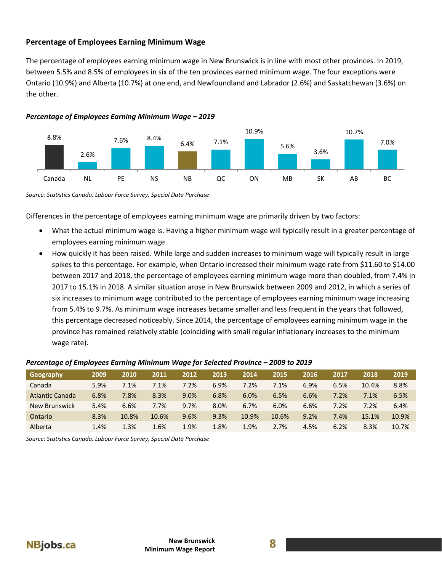## <span id="page-8-0"></span>**Percentage of Employees Earning Minimum Wage**

The percentage of employees earning minimum wage in New Brunswick is in line with most other provinces. In 2019, between 5.5% and 8.5% of employees in six of the ten provinces earned minimum wage. The four exceptions were Ontario (10.9%) and Alberta (10.7%) at one end, and Newfoundland and Labrador (2.6%) and Saskatchewan (3.6%) on the other.





*Source: Statistics Canada, Labour Force Survey, Special Data Purchase*

Differences in the percentage of employees earning minimum wage are primarily driven by two factors:

- What the actual minimum wage is. Having a higher minimum wage will typically result in a greater percentage of employees earning minimum wage.
- How quickly it has been raised. While large and sudden increases to minimum wage will typically result in large spikes to this percentage. For example, when Ontario increased their minimum wage rate from \$11.60 to \$14.00 between 2017 and 2018, the percentage of employees earning minimum wage more than doubled, from 7.4% in 2017 to 15.1% in 2018. A similar situation arose in New Brunswick between 2009 and 2012, in which a series of six increases to minimum wage contributed to the percentage of employees earning minimum wage increasing from 5.4% to 9.7%. As minimum wage increases became smaller and less frequent in the years that followed, this percentage decreased noticeably. Since 2014, the percentage of employees earning minimum wage in the province has remained relatively stable (coinciding with small regular inflationary increases to the minimum wage rate).

### *Percentage of Employees Earning Minimum Wage for Selected Province – 2009 to 2019*

| Geography              | 2009 | 2010  | 2011  | 2012 | 2013 | 2014  | 2015  | 2016 | 2017 | 2018  | 2019  |
|------------------------|------|-------|-------|------|------|-------|-------|------|------|-------|-------|
| Canada                 | 5.9% | 7.1%  | 7.1%  | 7.2% | 6.9% | 7.2%  | 7.1%  | 6.9% | 6.5% | 10.4% | 8.8%  |
| <b>Atlantic Canada</b> | 6.8% | 7.8%  | 8.3%  | 9.0% | 6.8% | 6.0%  | 6.5%  | 6.6% | 7.2% | 7.1%  | 6.5%  |
| New Brunswick          | 5.4% | 6.6%  | 7.7%  | 9.7% | 8.0% | 6.7%  | 6.0%  | 6.6% | 7.2% | 7.2%  | 6.4%  |
| Ontario                | 8.3% | 10.8% | 10.6% | 9.6% | 9.3% | 10.9% | 10.6% | 9.2% | 7.4% | 15.1% | 10.9% |
| Alberta                | 1.4% | 1.3%  | 1.6%  | 1.9% | 1.8% | 1.9%  | 2.7%  | 4.5% | 6.2% | 8.3%  | 10.7% |

*Source: Statistics Canada, Labour Force Survey, Special Data Purchase*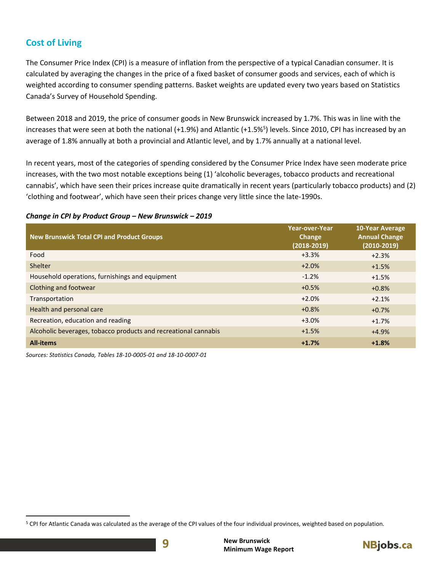# <span id="page-9-0"></span>**Cost of Living**

 $\overline{\phantom{a}}$ 

The Consumer Price Index (CPI) is a measure of inflation from the perspective of a typical Canadian consumer. It is calculated by averaging the changes in the price of a fixed basket of consumer goods and services, each of which is weighted according to consumer spending patterns. Basket weights are updated every two years based on Statistics Canada's Survey of Household Spending.

Between 2018 and 2019, the price of consumer goods in New Brunswick increased by 1.7%. This was in line with the increases that were seen at both the national (+1.9%) and Atlantic (+1.5%<sup>5</sup>) levels. Since 2010, CPI has increased by an average of 1.8% annually at both a provincial and Atlantic level, and by 1.7% annually at a national level.

In recent years, most of the categories of spending considered by the Consumer Price Index have seen moderate price increases, with the two most notable exceptions being (1) 'alcoholic beverages, tobacco products and recreational cannabis', which have seen their prices increase quite dramatically in recent years (particularly tobacco products) and (2) 'clothing and footwear', which have seen their prices change very little since the late-1990s.

## *Change in CPI by Product Group – New Brunswick – 2019*

| <b>New Brunswick Total CPI and Product Groups</b>               | <b>Year-over-Year</b><br>Change<br>$(2018 - 2019)$ | <b>10-Year Average</b><br><b>Annual Change</b><br>$(2010-2019)$ |
|-----------------------------------------------------------------|----------------------------------------------------|-----------------------------------------------------------------|
| Food                                                            | $+3.3%$                                            | $+2.3%$                                                         |
| Shelter                                                         | $+2.0%$                                            | $+1.5%$                                                         |
| Household operations, furnishings and equipment                 | $-1.2%$                                            | $+1.5%$                                                         |
| Clothing and footwear                                           | $+0.5%$                                            | $+0.8%$                                                         |
| Transportation                                                  | $+2.0%$                                            | $+2.1%$                                                         |
| Health and personal care                                        | $+0.8%$                                            | $+0.7%$                                                         |
| Recreation, education and reading                               | $+3.0%$                                            | $+1.7%$                                                         |
| Alcoholic beverages, tobacco products and recreational cannabis | $+1.5%$                                            | $+4.9%$                                                         |
| <b>All-items</b>                                                | $+1.7%$                                            | $+1.8%$                                                         |

*Sources: Statistics Canada, Tables 18-10-0005-01 and 18-10-0007-01*

<sup>&</sup>lt;sup>5</sup> CPI for Atlantic Canada was calculated as the average of the CPI values of the four individual provinces, weighted based on population.